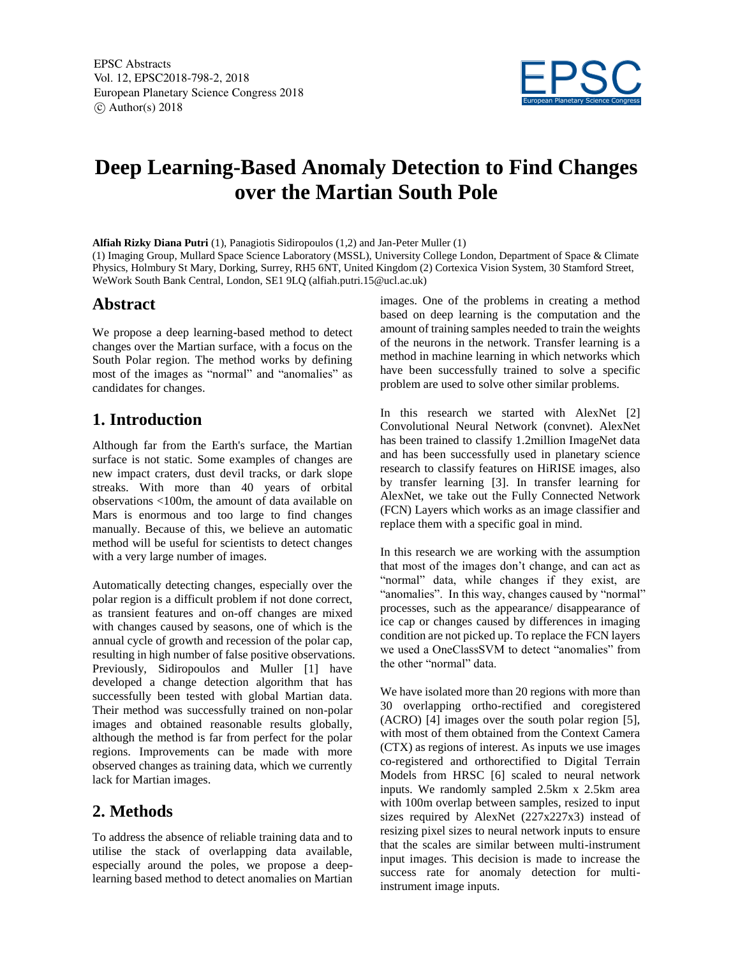

# **Deep Learning-Based Anomaly Detection to Find Changes over the Martian South Pole**

**Alfiah Rizky Diana Putri** (1), Panagiotis Sidiropoulos (1,2) and Jan-Peter Muller (1) (1) Imaging Group, Mullard Space Science Laboratory (MSSL), University College London, Department of Space & Climate Physics, Holmbury St Mary, Dorking, Surrey, RH5 6NT, United Kingdom (2) Cortexica Vision System, 30 Stamford Street, WeWork South Bank Central, London, SE1 9LQ (alfiah.putri.15@ucl.ac.uk)

#### **Abstract**

We propose a deep learning-based method to detect changes over the Martian surface, with a focus on the South Polar region. The method works by defining most of the images as "normal" and "anomalies" as candidates for changes.

## **1. Introduction**

Although far from the Earth's surface, the Martian surface is not static. Some examples of changes are new impact craters, dust devil tracks, or dark slope streaks. With more than 40 years of orbital observations <100m, the amount of data available on Mars is enormous and too large to find changes manually. Because of this, we believe an automatic method will be useful for scientists to detect changes with a very large number of images.

Automatically detecting changes, especially over the polar region is a difficult problem if not done correct, as transient features and on-off changes are mixed with changes caused by seasons, one of which is the annual cycle of growth and recession of the polar cap, resulting in high number of false positive observations. Previously, Sidiropoulos and Muller [1] have developed a change detection algorithm that has successfully been tested with global Martian data. Their method was successfully trained on non-polar images and obtained reasonable results globally, although the method is far from perfect for the polar regions. Improvements can be made with more observed changes as training data, which we currently lack for Martian images.

## **2. Methods**

To address the absence of reliable training data and to utilise the stack of overlapping data available, especially around the poles, we propose a deeplearning based method to detect anomalies on Martian images. One of the problems in creating a method based on deep learning is the computation and the amount of training samples needed to train the weights of the neurons in the network. Transfer learning is a method in machine learning in which networks which have been successfully trained to solve a specific problem are used to solve other similar problems.

In this research we started with AlexNet [2] Convolutional Neural Network (convnet). AlexNet has been trained to classify 1.2million ImageNet data and has been successfully used in planetary science research to classify features on HiRISE images, also by transfer learning [3]. In transfer learning for AlexNet, we take out the Fully Connected Network (FCN) Layers which works as an image classifier and replace them with a specific goal in mind.

In this research we are working with the assumption that most of the images don't change, and can act as "normal" data, while changes if they exist, are "anomalies". In this way, changes caused by "normal" processes, such as the appearance/ disappearance of ice cap or changes caused by differences in imaging condition are not picked up. To replace the FCN layers we used a OneClassSVM to detect "anomalies" from the other "normal" data.

We have isolated more than 20 regions with more than 30 overlapping ortho-rectified and coregistered (ACRO) [4] images over the south polar region [5], with most of them obtained from the Context Camera (CTX) as regions of interest. As inputs we use images co-registered and orthorectified to Digital Terrain Models from HRSC [6] scaled to neural network inputs. We randomly sampled 2.5km x 2.5km area with 100m overlap between samples, resized to input sizes required by AlexNet (227x227x3) instead of resizing pixel sizes to neural network inputs to ensure that the scales are similar between multi-instrument input images. This decision is made to increase the success rate for anomaly detection for multiinstrument image inputs.